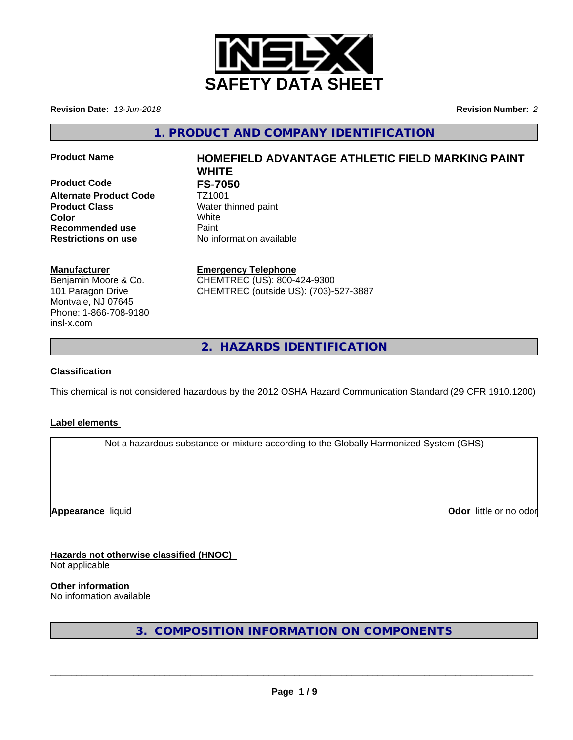

**Revision Date:** *13-Jun-2018* **Revision Number:** *2*

**1. PRODUCT AND COMPANY IDENTIFICATION**

**Product Code** FS-7050<br>Alternate Product Code TZ1001 **Alternate Product Code Product Class** Water thinned paint **Color** White **Recommended use** Paint **Restrictions on use** No information available

# **Product Name HOMEFIELD ADVANTAGE ATHLETIC FIELD MARKING PAINT WHITE**

# **Manufacturer**

Benjamin Moore & Co. 101 Paragon Drive Montvale, NJ 07645 Phone: 1-866-708-9180 insl-x.com

**Emergency Telephone** CHEMTREC (US): 800-424-9300 CHEMTREC (outside US): (703)-527-3887

**2. HAZARDS IDENTIFICATION**

# **Classification**

This chemical is not considered hazardous by the 2012 OSHA Hazard Communication Standard (29 CFR 1910.1200)

# **Label elements**

Not a hazardous substance or mixture according to the Globally Harmonized System (GHS)

**Appearance** liquid **CODO** *Appearance liquid* **Odor**  *CODO CODO* **<b>***CODO CODO CODO CODO CODO CODO CODO CODO CODO CODO CODO CODO CODO CODO CODO CODO CODO* 

# **Hazards not otherwise classified (HNOC)**

Not applicable

**Other information**

No information available

**3. COMPOSITION INFORMATION ON COMPONENTS**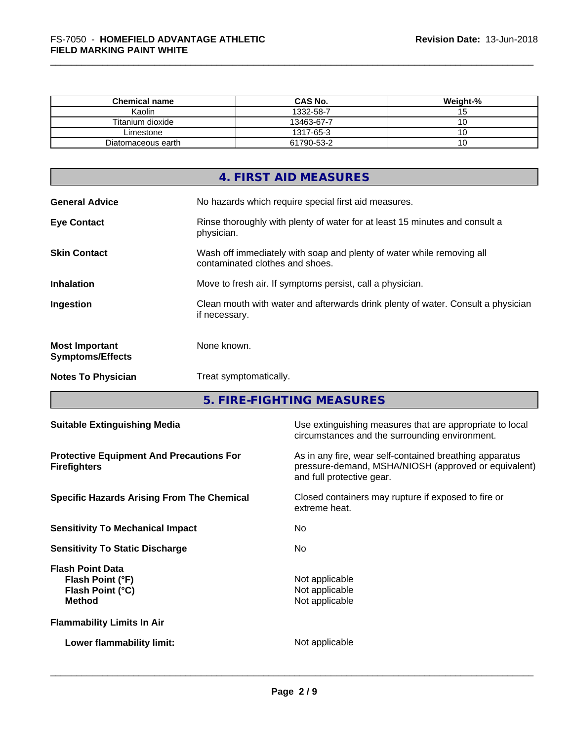| <b>Chemical name</b> | <b>CAS No.</b> | Weight-% |
|----------------------|----------------|----------|
| Kaolin               | 1332-58-7      | . J      |
| Titanium dioxide     | 13463-67-7     |          |
| ∟imestone            | 1317-65-3      |          |
| Diatomaceous earth   | 61790-53-2     | v        |

|                                                  | 4. FIRST AID MEASURES                                                                                    |
|--------------------------------------------------|----------------------------------------------------------------------------------------------------------|
| <b>General Advice</b>                            | No hazards which require special first aid measures.                                                     |
| <b>Eye Contact</b>                               | Rinse thoroughly with plenty of water for at least 15 minutes and consult a<br>physician.                |
| <b>Skin Contact</b>                              | Wash off immediately with soap and plenty of water while removing all<br>contaminated clothes and shoes. |
| <b>Inhalation</b>                                | Move to fresh air. If symptoms persist, call a physician.                                                |
| Ingestion                                        | Clean mouth with water and afterwards drink plenty of water. Consult a physician<br>if necessary.        |
| <b>Most Important</b><br><b>Symptoms/Effects</b> | None known.                                                                                              |
| <b>Notes To Physician</b>                        | Treat symptomatically.                                                                                   |
|                                                  |                                                                                                          |

**5. FIRE-FIGHTING MEASURES**

| <b>Suitable Extinguishing Media</b>                                              | Use extinguishing measures that are appropriate to local<br>circumstances and the surrounding environment.                                   |
|----------------------------------------------------------------------------------|----------------------------------------------------------------------------------------------------------------------------------------------|
| <b>Protective Equipment And Precautions For</b><br><b>Firefighters</b>           | As in any fire, wear self-contained breathing apparatus<br>pressure-demand, MSHA/NIOSH (approved or equivalent)<br>and full protective gear. |
| <b>Specific Hazards Arising From The Chemical</b>                                | Closed containers may rupture if exposed to fire or<br>extreme heat.                                                                         |
| <b>Sensitivity To Mechanical Impact</b>                                          | No.                                                                                                                                          |
| <b>Sensitivity To Static Discharge</b>                                           | No.                                                                                                                                          |
| <b>Flash Point Data</b><br>Flash Point (°F)<br>Flash Point (°C)<br><b>Method</b> | Not applicable<br>Not applicable<br>Not applicable                                                                                           |
| <b>Flammability Limits In Air</b>                                                |                                                                                                                                              |
| Lower flammability limit:                                                        | Not applicable                                                                                                                               |
|                                                                                  |                                                                                                                                              |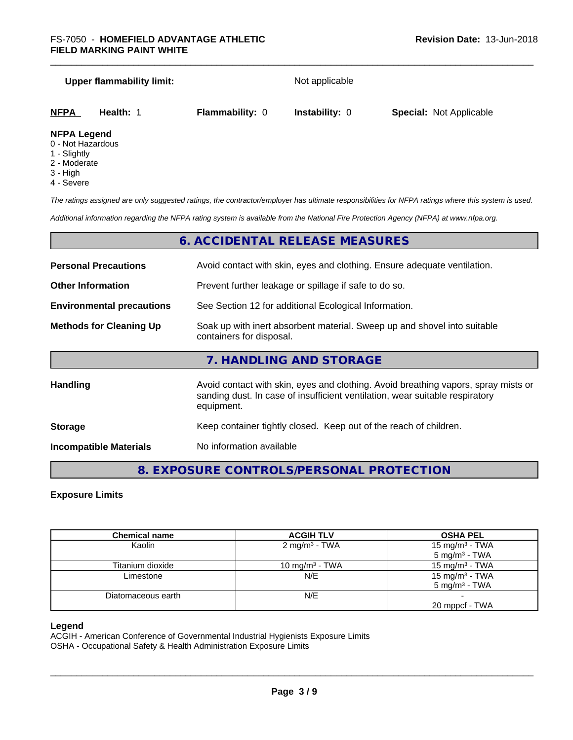## **Upper flammability limit:** Not applicable

| NFPA         | Health: | <b>Flammability: 0</b> | <b>Instability: 0</b> | <b>Special: Not Applicable</b> |  |
|--------------|---------|------------------------|-----------------------|--------------------------------|--|
| NIEDA LANANA |         |                        |                       |                                |  |

## **NFPA Legend**

- 0 Not Hazardous
- 1 Slightly
- 2 Moderate
- 3 High
- 4 Severe

*The ratings assigned are only suggested ratings, the contractor/employer has ultimate responsibilities for NFPA ratings where this system is used.*

*Additional information regarding the NFPA rating system is available from the National Fire Protection Agency (NFPA) at www.nfpa.org.*

# **6. ACCIDENTAL RELEASE MEASURES**

| <b>Personal Precautions</b>      | Avoid contact with skin, eyes and clothing. Ensure adequate ventilation.                                                                                                         |
|----------------------------------|----------------------------------------------------------------------------------------------------------------------------------------------------------------------------------|
| <b>Other Information</b>         | Prevent further leakage or spillage if safe to do so.                                                                                                                            |
| <b>Environmental precautions</b> | See Section 12 for additional Ecological Information.                                                                                                                            |
| <b>Methods for Cleaning Up</b>   | Soak up with inert absorbent material. Sweep up and shovel into suitable<br>containers for disposal.                                                                             |
|                                  | 7. HANDLING AND STORAGE                                                                                                                                                          |
| <b>Handling</b>                  | Avoid contact with skin, eyes and clothing. Avoid breathing vapors, spray mists or<br>sanding dust. In case of insufficient ventilation, wear suitable respiratory<br>equipment. |
| <b>Storage</b>                   | Keep container tightly closed. Keep out of the reach of children.                                                                                                                |
| <b>Incompatible Materials</b>    | No information available                                                                                                                                                         |

# **8. EXPOSURE CONTROLS/PERSONAL PROTECTION**

## **Exposure Limits**

| <b>Chemical name</b> | <b>ACGIH TLV</b>           | <b>OSHA PEL</b>            |
|----------------------|----------------------------|----------------------------|
| Kaolin               | 2 mg/m <sup>3</sup> - TWA  | 15 mg/m $3$ - TWA          |
|                      |                            | $5 \text{ mg/m}^3$ - TWA   |
| Titanium dioxide     | 10 mg/m <sup>3</sup> - TWA | 15 mg/m <sup>3</sup> - TWA |
| Limestone            | N/E                        | 15 mg/m <sup>3</sup> - TWA |
|                      |                            | $5 \text{ ma/m}^3$ - TWA   |
| Diatomaceous earth   | N/E                        |                            |
|                      |                            | 20 mppcf - TWA             |

## **Legend**

ACGIH - American Conference of Governmental Industrial Hygienists Exposure Limits

OSHA - Occupational Safety & Health Administration Exposure Limits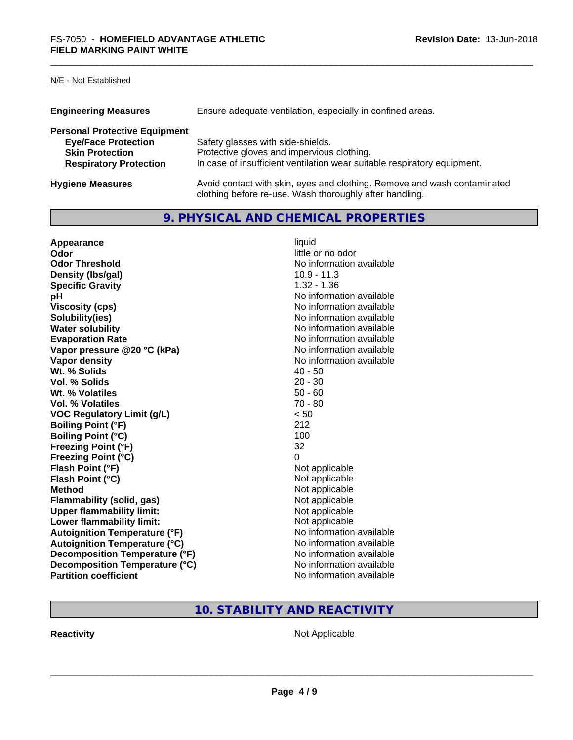# N/E - Not Established

| <b>Engineering Measures</b>          | Ensure adequate ventilation, especially in confined areas.                                                                          |
|--------------------------------------|-------------------------------------------------------------------------------------------------------------------------------------|
| <b>Personal Protective Equipment</b> |                                                                                                                                     |
| <b>Eye/Face Protection</b>           | Safety glasses with side-shields.                                                                                                   |
| <b>Skin Protection</b>               | Protective gloves and impervious clothing.                                                                                          |
| <b>Respiratory Protection</b>        | In case of insufficient ventilation wear suitable respiratory equipment.                                                            |
| <b>Hygiene Measures</b>              | Avoid contact with skin, eyes and clothing. Remove and wash contaminated<br>clothing before re-use. Wash thoroughly after handling. |

# **9. PHYSICAL AND CHEMICAL PROPERTIES**

| Appearance                           | liquid                   |
|--------------------------------------|--------------------------|
| Odor                                 | little or no odor        |
| <b>Odor Threshold</b>                | No information available |
| Density (Ibs/gal)                    | $10.9 - 11.3$            |
| <b>Specific Gravity</b>              | $1.32 - 1.36$            |
| рH                                   | No information available |
| <b>Viscosity (cps)</b>               | No information available |
| Solubility(ies)                      | No information available |
| <b>Water solubility</b>              | No information available |
| <b>Evaporation Rate</b>              | No information available |
| Vapor pressure @20 °C (kPa)          | No information available |
| Vapor density                        | No information available |
| Wt. % Solids                         | $40 - 50$                |
| Vol. % Solids                        | $20 - 30$                |
| Wt. % Volatiles                      | $50 - 60$                |
| Vol. % Volatiles                     | $70 - 80$                |
| <b>VOC Regulatory Limit (g/L)</b>    | < 50                     |
| <b>Boiling Point (°F)</b>            | 212                      |
| <b>Boiling Point (°C)</b>            | 100                      |
| <b>Freezing Point (°F)</b>           | 32                       |
| <b>Freezing Point (°C)</b>           | 0                        |
| Flash Point (°F)                     | Not applicable           |
| Flash Point (°C)                     | Not applicable           |
| <b>Method</b>                        | Not applicable           |
| <b>Flammability (solid, gas)</b>     | Not applicable           |
| <b>Upper flammability limit:</b>     | Not applicable           |
| Lower flammability limit:            | Not applicable           |
| <b>Autoignition Temperature (°F)</b> | No information available |
| <b>Autoignition Temperature (°C)</b> | No information available |
| Decomposition Temperature (°F)       | No information available |
| Decomposition Temperature (°C)       | No information available |
| <b>Partition coefficient</b>         | No information available |

# **10. STABILITY AND REACTIVITY**

**Reactivity Not Applicable** Not Applicable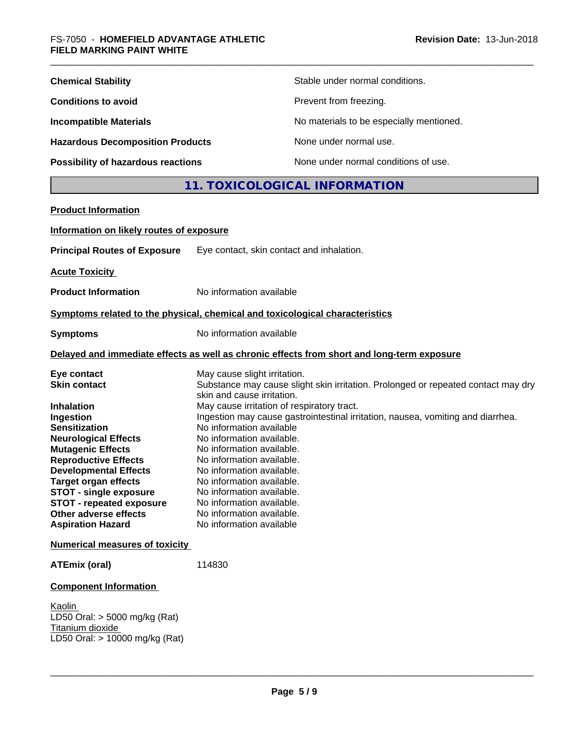| <b>Chemical Stability</b>               | Stable under normal conditions.          |
|-----------------------------------------|------------------------------------------|
| <b>Conditions to avoid</b>              | Prevent from freezing.                   |
| <b>Incompatible Materials</b>           | No materials to be especially mentioned. |
| <b>Hazardous Decomposition Products</b> | None under normal use.                   |
| Possibility of hazardous reactions      | None under normal conditions of use.     |

# **11. TOXICOLOGICAL INFORMATION**

| <b>Product Information</b>                                                                                                                                                                                                                                                                                                                                                     |                                                                                                                                                                                                                                                                                                                                                                                                                                                                                                                                                                                  |
|--------------------------------------------------------------------------------------------------------------------------------------------------------------------------------------------------------------------------------------------------------------------------------------------------------------------------------------------------------------------------------|----------------------------------------------------------------------------------------------------------------------------------------------------------------------------------------------------------------------------------------------------------------------------------------------------------------------------------------------------------------------------------------------------------------------------------------------------------------------------------------------------------------------------------------------------------------------------------|
| Information on likely routes of exposure                                                                                                                                                                                                                                                                                                                                       |                                                                                                                                                                                                                                                                                                                                                                                                                                                                                                                                                                                  |
| <b>Principal Routes of Exposure</b>                                                                                                                                                                                                                                                                                                                                            | Eye contact, skin contact and inhalation.                                                                                                                                                                                                                                                                                                                                                                                                                                                                                                                                        |
| <b>Acute Toxicity</b>                                                                                                                                                                                                                                                                                                                                                          |                                                                                                                                                                                                                                                                                                                                                                                                                                                                                                                                                                                  |
| <b>Product Information</b>                                                                                                                                                                                                                                                                                                                                                     | No information available                                                                                                                                                                                                                                                                                                                                                                                                                                                                                                                                                         |
|                                                                                                                                                                                                                                                                                                                                                                                | Symptoms related to the physical, chemical and toxicological characteristics                                                                                                                                                                                                                                                                                                                                                                                                                                                                                                     |
| <b>Symptoms</b>                                                                                                                                                                                                                                                                                                                                                                | No information available                                                                                                                                                                                                                                                                                                                                                                                                                                                                                                                                                         |
|                                                                                                                                                                                                                                                                                                                                                                                | Delayed and immediate effects as well as chronic effects from short and long-term exposure                                                                                                                                                                                                                                                                                                                                                                                                                                                                                       |
| Eye contact<br><b>Skin contact</b><br><b>Inhalation</b><br>Ingestion<br><b>Sensitization</b><br><b>Neurological Effects</b><br><b>Mutagenic Effects</b><br><b>Reproductive Effects</b><br><b>Developmental Effects</b><br><b>Target organ effects</b><br><b>STOT - single exposure</b><br><b>STOT - repeated exposure</b><br>Other adverse effects<br><b>Aspiration Hazard</b> | May cause slight irritation.<br>Substance may cause slight skin irritation. Prolonged or repeated contact may dry<br>skin and cause irritation.<br>May cause irritation of respiratory tract.<br>Ingestion may cause gastrointestinal irritation, nausea, vomiting and diarrhea.<br>No information available<br>No information available.<br>No information available.<br>No information available.<br>No information available.<br>No information available.<br>No information available.<br>No information available.<br>No information available.<br>No information available |
| <b>Numerical measures of toxicity</b>                                                                                                                                                                                                                                                                                                                                          |                                                                                                                                                                                                                                                                                                                                                                                                                                                                                                                                                                                  |
| <b>ATEmix (oral)</b>                                                                                                                                                                                                                                                                                                                                                           | 114830                                                                                                                                                                                                                                                                                                                                                                                                                                                                                                                                                                           |
| <b>Component Information</b>                                                                                                                                                                                                                                                                                                                                                   |                                                                                                                                                                                                                                                                                                                                                                                                                                                                                                                                                                                  |
| Kaolin<br>LD50 Oral: $>$ 5000 mg/kg (Rat)<br>Titanium dioxide<br>LD50 Oral: > 10000 mg/kg (Rat)                                                                                                                                                                                                                                                                                |                                                                                                                                                                                                                                                                                                                                                                                                                                                                                                                                                                                  |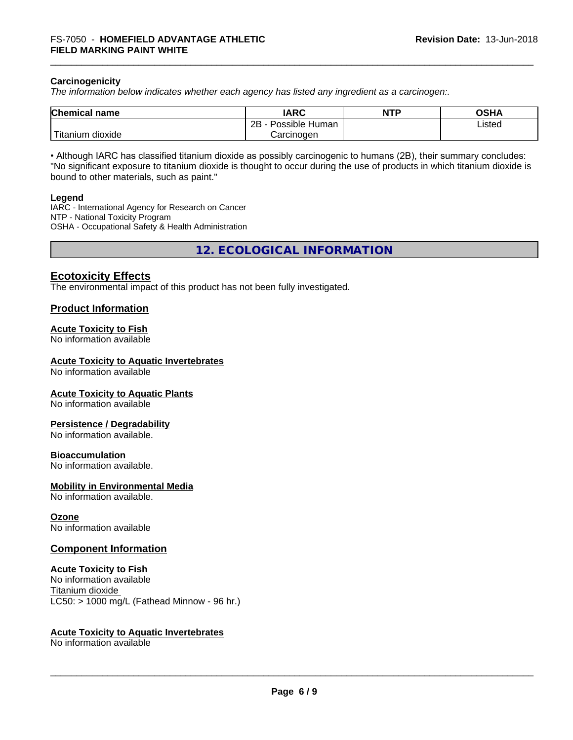## **Carcinogenicity**

*The information below indicateswhether each agency has listed any ingredient as a carcinogen:.*

| <b>Chemical</b><br>name             | <b>IARC</b>                    | <b>NTP</b> | ດເ⊔າ<br>שטש |
|-------------------------------------|--------------------------------|------------|-------------|
|                                     | .<br>2B<br>: Human<br>Possible |            | Listed      |
| $-1$<br>, dioxide<br><b>itanium</b> | Carcinoɑen                     |            |             |

• Although IARC has classified titanium dioxide as possibly carcinogenic to humans (2B), their summary concludes: "No significant exposure to titanium dioxide is thought to occur during the use of products in which titanium dioxide is bound to other materials, such as paint."

#### **Legend**

IARC - International Agency for Research on Cancer NTP - National Toxicity Program OSHA - Occupational Safety & Health Administration

**12. ECOLOGICAL INFORMATION**

# **Ecotoxicity Effects**

The environmental impact of this product has not been fully investigated.

## **Product Information**

#### **Acute Toxicity to Fish**

No information available

#### **Acute Toxicity to Aquatic Invertebrates**

No information available

#### **Acute Toxicity to Aquatic Plants**

No information available

#### **Persistence / Degradability**

No information available.

#### **Bioaccumulation**

No information available.

#### **Mobility in Environmental Media**

No information available.

#### **Ozone**

No information available

## **Component Information**

## **Acute Toxicity to Fish**

No information available Titanium dioxide  $LC50:$  > 1000 mg/L (Fathead Minnow - 96 hr.)

#### **Acute Toxicity to Aquatic Invertebrates**

No information available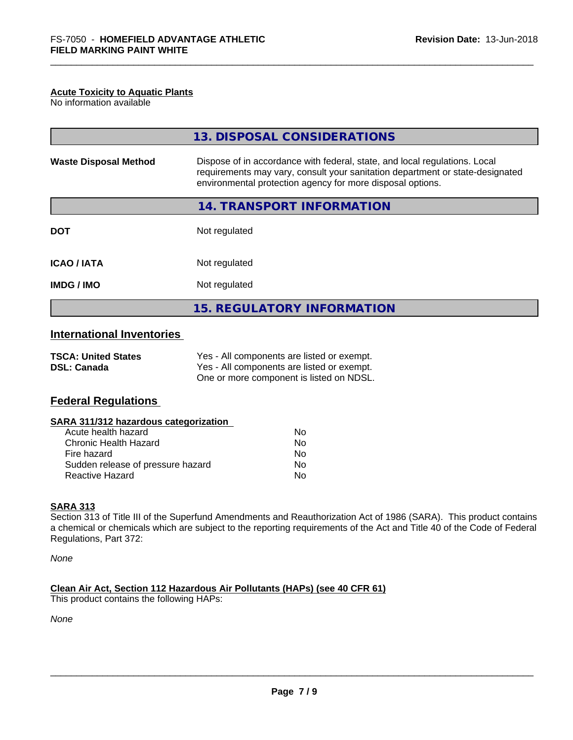## **Acute Toxicity to Aquatic Plants**

No information available

|                                                  | 13. DISPOSAL CONSIDERATIONS                                                                                                                                                                                               |
|--------------------------------------------------|---------------------------------------------------------------------------------------------------------------------------------------------------------------------------------------------------------------------------|
| <b>Waste Disposal Method</b>                     | Dispose of in accordance with federal, state, and local regulations. Local<br>requirements may vary, consult your sanitation department or state-designated<br>environmental protection agency for more disposal options. |
|                                                  | 14. TRANSPORT INFORMATION                                                                                                                                                                                                 |
| <b>DOT</b>                                       | Not regulated                                                                                                                                                                                                             |
| <b>ICAO/IATA</b>                                 | Not regulated                                                                                                                                                                                                             |
| <b>IMDG / IMO</b>                                | Not regulated                                                                                                                                                                                                             |
|                                                  | <b>15. REGULATORY INFORMATION</b>                                                                                                                                                                                         |
| <b>International Inventories</b>                 |                                                                                                                                                                                                                           |
| <b>TSCA: United States</b><br><b>DSL: Canada</b> | Yes - All components are listed or exempt.<br>Yes - All components are listed or exempt.                                                                                                                                  |

One or more component is listed on NDSL.

# **Federal Regulations**

| SARA 311/312 hazardous categorization |    |  |
|---------------------------------------|----|--|
| Acute health hazard                   | Nο |  |
| <b>Chronic Health Hazard</b>          | Nο |  |
| Fire hazard                           | Nο |  |
| Sudden release of pressure hazard     | No |  |
| <b>Reactive Hazard</b>                | No |  |

## **SARA 313**

Section 313 of Title III of the Superfund Amendments and Reauthorization Act of 1986 (SARA). This product contains a chemical or chemicals which are subject to the reporting requirements of the Act and Title 40 of the Code of Federal Regulations, Part 372:

*None*

**Clean Air Act,Section 112 Hazardous Air Pollutants (HAPs) (see 40 CFR 61)** This product contains the following HAPs:

*None*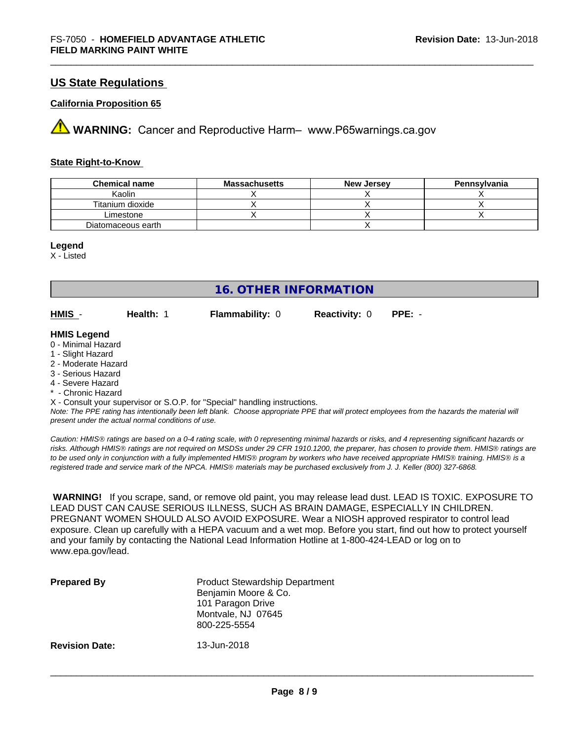# **US State Regulations**

### **California Proposition 65**

**AVIMARNING:** Cancer and Reproductive Harm– www.P65warnings.ca.gov

### **State Right-to-Know**

| <b>Chemical name</b> | <b>Massachusetts</b> | <b>New Jersey</b> | Pennsylvania |
|----------------------|----------------------|-------------------|--------------|
| Kaolin               |                      |                   |              |
| Titanium dioxide     |                      |                   |              |
| Limestone            |                      |                   |              |
| Diatomaceous earth   |                      |                   |              |

#### **Legend**

X - Listed

| <b>16. OTHER INFORMATION</b>                                                                                                    |           |                        |                      |          |  |
|---------------------------------------------------------------------------------------------------------------------------------|-----------|------------------------|----------------------|----------|--|
| HMIS -                                                                                                                          | Health: 1 | <b>Flammability: 0</b> | <b>Reactivity: 0</b> | $PPE: -$ |  |
| <b>HMIS Legend</b><br>0 - Minimal Hazard<br>1 - Slight Hazard<br>2 - Moderate Hazard<br>3 - Serious Hazard<br>4 - Severe Hazard |           |                        |                      |          |  |

\* - Chronic Hazard

X - Consult your supervisor or S.O.P. for "Special" handling instructions.

*Note: The PPE rating has intentionally been left blank. Choose appropriate PPE that will protect employees from the hazards the material will present under the actual normal conditions of use.*

*Caution: HMISÒ ratings are based on a 0-4 rating scale, with 0 representing minimal hazards or risks, and 4 representing significant hazards or risks. Although HMISÒ ratings are not required on MSDSs under 29 CFR 1910.1200, the preparer, has chosen to provide them. HMISÒ ratings are to be used only in conjunction with a fully implemented HMISÒ program by workers who have received appropriate HMISÒ training. HMISÒ is a registered trade and service mark of the NPCA. HMISÒ materials may be purchased exclusively from J. J. Keller (800) 327-6868.*

 **WARNING!** If you scrape, sand, or remove old paint, you may release lead dust. LEAD IS TOXIC. EXPOSURE TO LEAD DUST CAN CAUSE SERIOUS ILLNESS, SUCH AS BRAIN DAMAGE, ESPECIALLY IN CHILDREN. PREGNANT WOMEN SHOULD ALSO AVOID EXPOSURE. Wear a NIOSH approved respirator to control lead exposure. Clean up carefully with a HEPA vacuum and a wet mop. Before you start, find out how to protect yourself and your family by contacting the National Lead Information Hotline at 1-800-424-LEAD or log on to www.epa.gov/lead.

| <b>Prepared By</b>    | <b>Product Stewardship Department</b><br>Benjamin Moore & Co.<br>101 Paragon Drive<br>Montvale, NJ 07645<br>800-225-5554 |
|-----------------------|--------------------------------------------------------------------------------------------------------------------------|
| <b>Revision Date:</b> | 13-Jun-2018                                                                                                              |